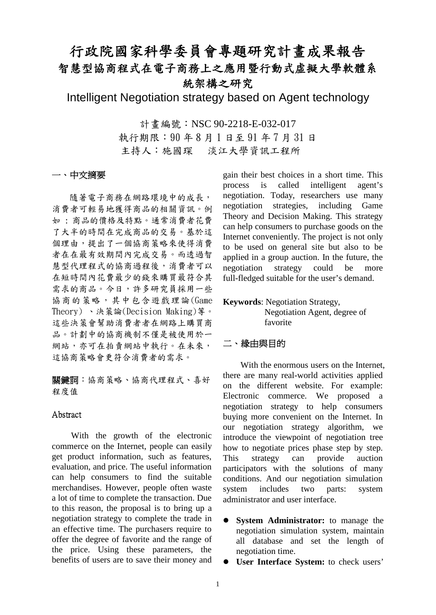# 行政院國家科學委員會專題研究計畫成果報告 智慧型協商程式在電子商務上之應用暨行動式虛擬大學軟體系 統架構之研究

Intelligent Negotiation strategy based on Agent technology

計書編號: NSC 90-2218-E-032-017 執行期限:90 年 8 月 1 日至 91 年 7 月 31 日 主持人:施國琛 淡江大學資訊工程所

# 一、中文摘要

隨著電子商務在網路環境中的成長, 消費者可輕易地獲得商品的相關資訊。例 如 : 商品的價格及特點。通常消費者花費 了大半的時間在完成商品的交易。基於這 個理由,提出了一個協商策略來使得消費 者在在最有效期間內完成交易。而透過智 慧型代理程式的協商過程後,消費者可以 在短時間內花費最少的錢來購買最符合其 需求的商品。今日,許多研究員採用一些 協商的策略,其中包含遊戲理論(Game Theory) 、決策論(Decision Making)等。 這些決策會幫助消費者者在網路上購買商 品。計劃中的協商機制不僅是被使用於一 網站,亦可在拍賣網站中執行。在未來, 這協商策略會更符合消費者的需求。

關鍵詞:協商策略、協商代理程式、喜好 程度值

### Abstract

With the growth of the electronic commerce on the Internet, people can easily get product information, such as features, evaluation, and price. The useful information can help consumers to find the suitable merchandises. However, people often waste a lot of time to complete the transaction. Due to this reason, the proposal is to bring up a negotiation strategy to complete the trade in an effective time. The purchasers require to offer the degree of favorite and the range of the price. Using these parameters, the benefits of users are to save their money and

gain their best choices in a short time. This process is called intelligent agent's negotiation. Today, researchers use many negotiation strategies, including Game Theory and Decision Making. This strategy can help consumers to purchase goods on the Internet conveniently. The project is not only to be used on general site but also to be applied in a group auction. In the future, the negotiation strategy could be more full-fledged suitable for the user's demand.

#### **Keywords**: Negotiation Strategy,

Negotiation Agent, degree of favorite

# 二、緣由與目的

With the enormous users on the Internet. there are many real-world activities applied on the different website. For example: Electronic commerce. We proposed a negotiation strategy to help consumers buying more convenient on the Internet. In our negotiation strategy algorithm, we introduce the viewpoint of negotiation tree how to negotiate prices phase step by step. This strategy can provide auction participators with the solutions of many conditions. And our negotiation simulation system includes two parts: system administrator and user interface.

- **•** System Administrator: to manage the negotiation simulation system, maintain all database and set the length of negotiation time.
- **User Interface System:** to check users'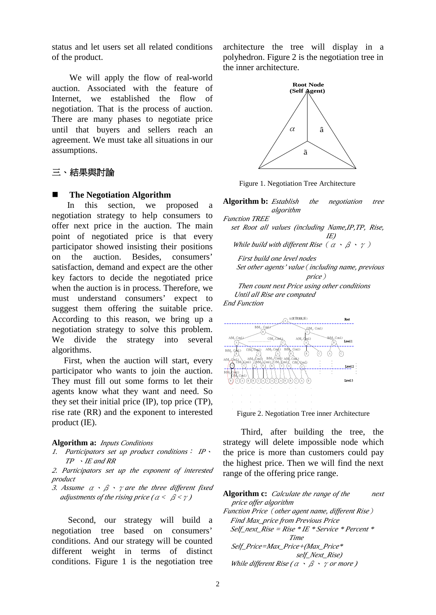status and let users set all related conditions of the product.

We will apply the flow of real-world auction. Associated with the feature of Internet, we established the flow of negotiation. That is the process of auction. There are many phases to negotiate price until that buyers and sellers reach an agreement. We must take all situations in our assumptions.

# 三、結果與討論

#### **The Negotiation Algorithm**

In this section, we proposed a negotiation strategy to help consumers to offer next price in the auction. The main point of negotiated price is that every participator showed insisting their positions on the auction. Besides, consumers' satisfaction, demand and expect are the other key factors to decide the negotiated price when the auction is in process. Therefore, we must understand consumers' expect to suggest them offering the suitable price. According to this reason, we bring up a negotiation strategy to solve this problem. We divide the strategy into several algorithms.

First, when the auction will start, every participator who wants to join the auction. They must fill out some forms to let their agents know what they want and need. So they set their initial price (IP), top price (TP), rise rate (RR) and the exponent to interested product (IE).

#### **Algorithm a:** *Inputs Conditions*

*1. Participators set up product conditions*: *IP*、 *TP* 、*IE and RR*

*2. Participators set up the exponent of interested product*

*3. Assume* α、β、γ*are the three different fixed adjustments of the rising price (* $\alpha < \beta < \gamma$ *)* 

Second, our strategy will build a negotiation tree based on consumers' conditions. And our strategy will be counted different weight in terms of distinct conditions. Figure 1 is the negotiation tree architecture the tree will display in a polyhedron. Figure 2 is the negotiation tree in the inner architecture.



Figure 1. Negotiation Tree Architecture

**Algorithm b:** *Establish the negotiation tree algorithm Function TREE set Root all values (including Name,IP,TP, Rise, IE) While build with different Rise* (α、β、γ) *First build one level nodes Set other agents'value*(*including name, previous price*)  *Then count next Price using other conditions Until all Rise are computed End Function*



 Third, after building the tree, the strategy will delete impossible node which the price is more than customers could pay the highest price. Then we will find the next range of the offering price range.

**Algorithm c:** *Calculate the range of the next price offer algorithm Function Price*(*other agent name, different Rise*) *Find Max\_price from Previous Price Self\_next\_Rise = Rise \* IE \* Service \* Percent \* Time Self\_Price=Max\_Price+(Max\_Price\* self\_Next\_Rise) While different Rise (*α、β、γ*or more )*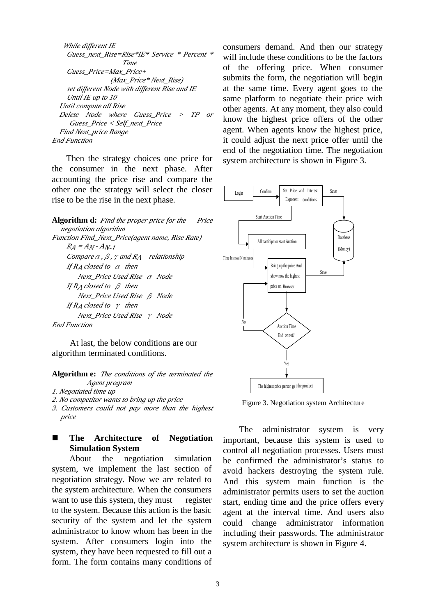```
 While different IE
     Guess_next_Rise=Rise*IE* Service * Percent * 
                      Time
     Guess_Price=Max_Price+
                  (Max_Price* Next_Rise)
     set different Node with different Rise and IE
     Until IE up to 10
   Until compute all Rise
   Delete Node where Guess_Price > TP or 
     Guess_Price < Self_next_Price
   Find Next_price Range
End Function
```
 Then the strategy choices one price for the consumer in the next phase. After accounting the price rise and compare the other one the strategy will select the closer rise to be the rise in the next phase.

**Algorithm d:** *Find the proper price for the Price negotiation algorithm Function Find\_Next\_Price(agent name, Rise Rate)*  $R_A = A_N - A_{N-I}$ *Compare*<sup>α</sup>*,*β*,*γ*and RA relationship If RA closed to* α *then Next\_Price Used Rise* α *Node If RA closed to* β *then Next\_Price Used Rise* β *Node If RA closed to* γ *then Next\_Price Used Rise* γ *Node End Function*

 At last, the below conditions are our algorithm terminated conditions.

**Algorithm e:** *The conditions of the terminated the Agent program*

*1. Negotiated time up*

- *2. No competitor wants to bring up the price*
- *3. Customers could not pay more than the highest price*

# n **The Architecture of Negotiation Simulation System**

About the negotiation simulation system, we implement the last section of negotiation strategy. Now we are related to the system architecture. When the consumers want to use this system, they must register to the system. Because this action is the basic security of the system and let the system administrator to know whom has been in the system. After consumers login into the system, they have been requested to fill out a form. The form contains many conditions of consumers demand. And then our strategy will include these conditions to be the factors of the offering price. When consumer submits the form, the negotiation will begin at the same time. Every agent goes to the same platform to negotiate their price with other agents. At any moment, they also could know the highest price offers of the other agent. When agents know the highest price, it could adjust the next price offer until the end of the negotiation time. The negotiation system architecture is shown in Figure 3.



Figure 3. Negotiation system Architecture

The administrator system is very important, because this system is used to control all negotiation processes. Users must be confirmed the administrator's status to avoid hackers destroying the system rule. And this system main function is the administrator permits users to set the auction start, ending time and the price offers every agent at the interval time. And users also could change administrator information including their passwords. The administrator system architecture is shown in Figure 4.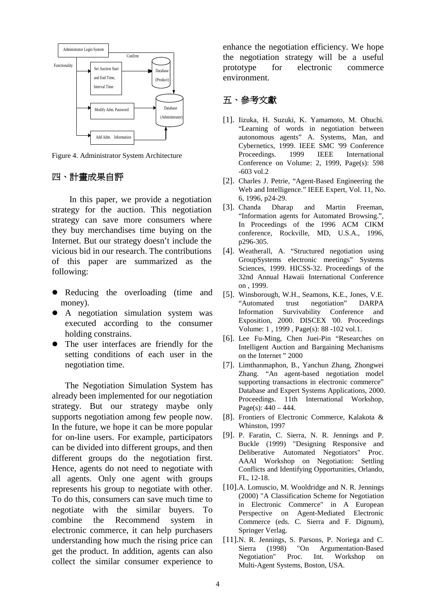

Figure 4. Administrator System Architecture

# 四、計畫成果自評

In this paper, we provide a negotiation strategy for the auction. This negotiation strategy can save more consumers where they buy merchandises time buying on the Internet. But our strategy doesn't include the vicious bid in our research. The contributions of this paper are summarized as the following:

- Reducing the overloading (time and money).
- A negotiation simulation system was executed according to the consumer holding constrains.
- The user interfaces are friendly for the setting conditions of each user in the negotiation time.

 The Negotiation Simulation System has already been implemented for our negotiation strategy. But our strategy maybe only supports negotiation among few people now. In the future, we hope it can be more popular for on-line users. For example, participators can be divided into different groups, and then different groups do the negotiation first. Hence, agents do not need to negotiate with all agents. Only one agent with groups represents his group to negotiate with other. To do this, consumers can save much time to negotiate with the similar buyers. To combine the Recommend system in electronic commerce, it can help purchasers understanding how much the rising price can get the product. In addition, agents can also collect the similar consumer experience to

enhance the negotiation efficiency. We hope the negotiation strategy will be a useful prototype for electronic commerce environment.

# 五、參考文獻

- [1]. Iizuka, H. Suzuki, K. Yamamoto, M. Ohuchi. "Learning of words in negotiation between autonomous agents" A. Systems, Man, and Cybernetics, 1999. IEEE SMC '99 Conference Proceedings. 1999 IEEE International Conference on Volume: 2, 1999, Page(s): 598 -603 vol.2
- [2]. Charles J. Petrie, "Agent-Based Engineering the Web and Intelligence." IEEE Expert, Vol. 11, No. 6, 1996, p24-29.
- [3]. Chanda Dharap and Martin Freeman, "Information agents for Automated Browsing.", In Proceedings of the 1996 ACM CIKM conference, Rockville, MD, U.S.A., 1996, p296-305.
- [4]. Weatherall, A. "Structured negotiation using GroupSystems electronic meetings" Systems Sciences, 1999. HICSS-32. Proceedings of the 32nd Annual Hawaii International Conference on , 1999.
- [5]. Winsborough, W.H., Seamons, K.E., Jones, V.E. "Automated trust negotiation" DARPA Information Survivability Conference and Exposition, 2000. DISCEX '00. Proceedings Volume: 1 , 1999 , Page(s): 88 -102 vol.1.
- [6]. Lee Fu-Ming, Chen Juei-Pin "Researches on Intelligent Auction and Bargaining Mechanisms on the Internet " 2000
- [7]. Limthanmaphon, B., Yanchun Zhang, Zhongwei Zhang. "An agent-based negotiation model supporting transactions in electronic commerce" Database and Expert Systems Applications, 2000. Proceedings. 11th International Workshop, Page(s):  $440 - 444$ .
- [8]. Frontiers of Electronic Commerce, Kalakota & Whinston, 1997
- [9]. P. Faratin, C. Sierra, N. R. Jennings and P. Buckle (1999) "Designing Responsive and Deliberative Automated Negotiators" Proc. AAAI Workshop on Negotiation: Settling Conflicts and Identifying Opportunities, Orlando, FL, 12-18.
- [10].A. Lomuscio, M. Wooldridge and N. R. Jennings (2000) "A Classification Scheme for Negotiation in Electronic Commerce" in A European Perspective on Agent-Mediated Electronic Commerce (eds. C. Sierra and F. Dignum), Springer Verlag.
- [11].N. R. Jennings, S. Parsons, P. Noriega and C. Sierra (1998) "On Argumentation-Based Negotiation" Proc. Int. Workshop on Multi-Agent Systems, Boston, USA.